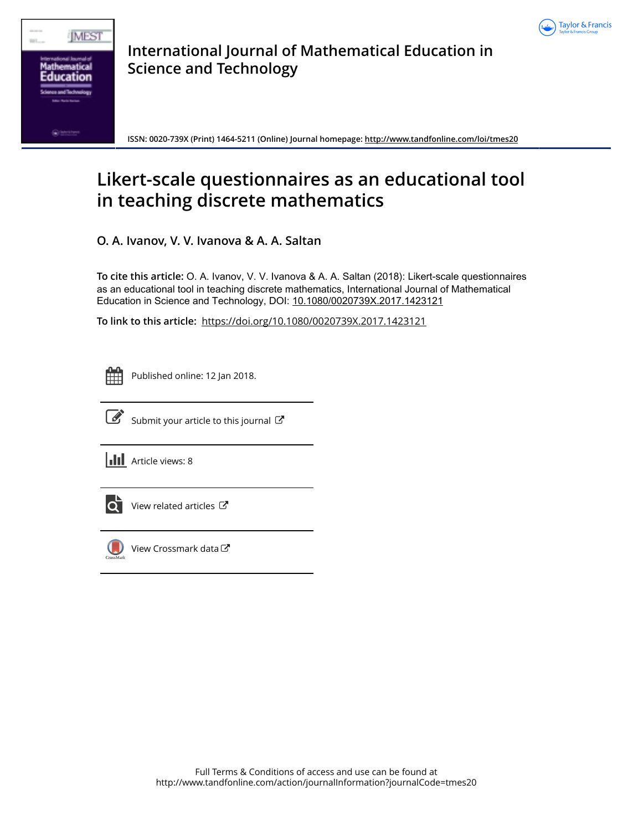



**International Journal of Mathematical Education in Science and Technology**

**ISSN: 0020-739X (Print) 1464-5211 (Online) Journal homepage: <http://www.tandfonline.com/loi/tmes20>**

# **Likert-scale questionnaires as an educational tool in teaching discrete mathematics**

**O. A. Ivanov, V. V. Ivanova & A. A. Saltan**

**To cite this article:** O. A. Ivanov, V. V. Ivanova & A. A. Saltan (2018): Likert-scale questionnaires as an educational tool in teaching discrete mathematics, International Journal of Mathematical Education in Science and Technology, DOI: [10.1080/0020739X.2017.1423121](http://www.tandfonline.com/action/showCitFormats?doi=10.1080/0020739X.2017.1423121)

**To link to this article:** <https://doi.org/10.1080/0020739X.2017.1423121>

|  | - |  |
|--|---|--|
|  |   |  |
|  |   |  |
|  |   |  |

Published online: 12 Jan 2018.



 $\overrightarrow{S}$  [Submit your article to this journal](http://www.tandfonline.com/action/authorSubmission?journalCode=tmes20&show=instructions)  $\overrightarrow{S}$ 

**III** Article views: 8



 $\overline{Q}$  [View related articles](http://www.tandfonline.com/doi/mlt/10.1080/0020739X.2017.1423121)  $\mathbb{Z}$ 



[View Crossmark data](http://crossmark.crossref.org/dialog/?doi=10.1080/0020739X.2017.1423121&domain=pdf&date_stamp=2018-01-12)  $\sigma$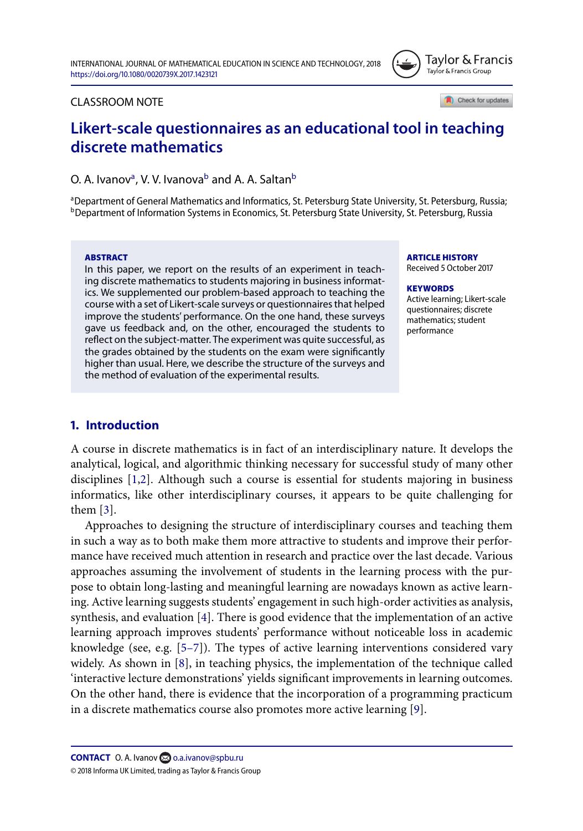

## CLASSROOM NOTE



# **Likert-scale questionnaires as an educational tool in teaching discrete mathematics**

# O. A. Ivanov<sup>a</sup>, V. V. Ivanova<sup>[b](#page-1-1)</sup> and A. A. Saltan<sup>b</sup>

<span id="page-1-1"></span><span id="page-1-0"></span>aDepartment of General Mathematics and Informatics, St. Petersburg State University, St. Petersburg, Russia; **bDepartment of Information Systems in Economics, St. Petersburg State University, St. Petersburg, Russia** 

#### **ABSTRACT**

In this paper, we report on the results of an experiment in teaching discrete mathematics to students majoring in business informatics. We supplemented our problem-based approach to teaching the course with a set of Likert-scale surveys or questionnaires that helped improve the students' performance. On the one hand, these surveys gave us feedback and, on the other, encouraged the students to reflect on the subject-matter. The experiment was quite successful, as the grades obtained by the students on the exam were significantly higher than usual. Here, we describe the structure of the surveys and the method of evaluation of the experimental results.

**ARTICLE HISTORY**

Received 5 October 2017

#### **KEYWORDS**

Active learning; Likert-scale questionnaires; discrete mathematics; student performance

# **1. Introduction**

<span id="page-1-3"></span><span id="page-1-2"></span>A course in discrete mathematics is in fact of an interdisciplinary nature. It develops the analytical, logical, and algorithmic thinking necessary for successful study of many other disciplines [\[1](#page-9-0)[,2\]](#page-9-1). Although such a course is essential for students majoring in business informatics, like other interdisciplinary courses, it appears to be quite challenging for them [\[3\]](#page-9-2).

<span id="page-1-8"></span><span id="page-1-7"></span><span id="page-1-6"></span><span id="page-1-5"></span><span id="page-1-4"></span>Approaches to designing the structure of interdisciplinary courses and teaching them in such a way as to both make them more attractive to students and improve their performance have received much attention in research and practice over the last decade. Various approaches assuming the involvement of students in the learning process with the purpose to obtain long-lasting and meaningful learning are nowadays known as active learning. Active learning suggests students' engagement in such high-order activities as analysis, synthesis, and evaluation [\[4\]](#page-9-3). There is good evidence that the implementation of an active learning approach improves students' performance without noticeable loss in academic knowledge (see, e.g. [\[5–7\]](#page-9-4)). The types of active learning interventions considered vary widely. As shown in [\[8\]](#page-9-5), in teaching physics, the implementation of the technique called 'interactive lecture demonstrations' yields significant improvements in learning outcomes. On the other hand, there is evidence that the incorporation of a programming practicum in a discrete mathematics course also promotes more active learning [\[9\]](#page-9-6).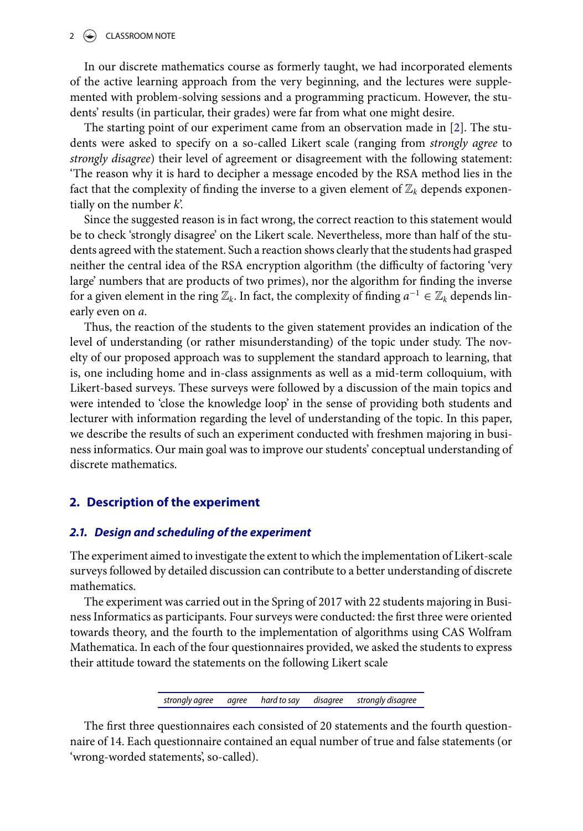#### $2 \left( \bigoplus \right)$  CLASSROOM NOTE

In our discrete mathematics course as formerly taught, we had incorporated elements of the active learning approach from the very beginning, and the lectures were supplemented with problem-solving sessions and a programming practicum. However, the students' results (in particular, their grades) were far from what one might desire.

The starting point of our experiment came from an observation made in [\[2\]](#page-9-1). The students were asked to specify on a so-called Likert scale (ranging from *strongly agree* to *strongly disagree*) their level of agreement or disagreement with the following statement: 'The reason why it is hard to decipher a message encoded by the RSA method lies in the fact that the complexity of finding the inverse to a given element of  $\mathbb{Z}_k$  depends exponentially on the number *k*'.

Since the suggested reason is in fact wrong, the correct reaction to this statement would be to check 'strongly disagree' on the Likert scale. Nevertheless, more than half of the students agreed with the statement. Such a reaction shows clearly that the students had grasped neither the central idea of the RSA encryption algorithm (the difficulty of factoring 'very large' numbers that are products of two primes), nor the algorithm for finding the inverse for a given element in the ring  $\mathbb{Z}_k$ . In fact, the complexity of finding  $a^{-1} \in \mathbb{Z}_k$  depends linearly even on *a*.

Thus, the reaction of the students to the given statement provides an indication of the level of understanding (or rather misunderstanding) of the topic under study. The novelty of our proposed approach was to supplement the standard approach to learning, that is, one including home and in-class assignments as well as a mid-term colloquium, with Likert-based surveys. These surveys were followed by a discussion of the main topics and were intended to 'close the knowledge loop' in the sense of providing both students and lecturer with information regarding the level of understanding of the topic. In this paper, we describe the results of such an experiment conducted with freshmen majoring in business informatics. Our main goal was to improve our students' conceptual understanding of discrete mathematics.

# **2. Description of the experiment**

#### *2.1. Design and scheduling of the experiment*

The experiment aimed to investigate the extent to which the implementation of Likert-scale surveys followed by detailed discussion can contribute to a better understanding of discrete mathematics.

The experiment was carried out in the Spring of 2017 with 22 students majoring in Business Informatics as participants. Four surveys were conducted: the first three were oriented towards theory, and the fourth to the implementation of algorithms using CAS Wolfram Mathematica. In each of the four questionnaires provided, we asked the students to express their attitude toward the statements on the following Likert scale

*strongly agree agree hard to say disagree strongly disagree*

The first three questionnaires each consisted of 20 statements and the fourth questionnaire of 14. Each questionnaire contained an equal number of true and false statements (or 'wrong-worded statements', so-called).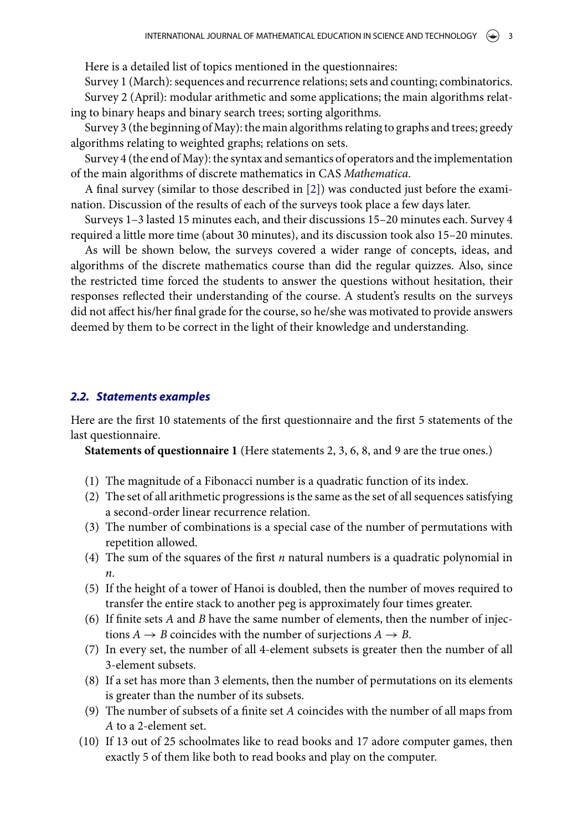Here is a detailed list of topics mentioned in the questionnaires:

Survey 1 (March): sequences and recurrence relations; sets and counting; combinatorics. Survey 2 (April): modular arithmetic and some applications; the main algorithms relating to binary heaps and binary search trees; sorting algorithms.

Survey 3 (the beginning of May): the main algorithms relating to graphs and trees; greedy algorithms relating to weighted graphs; relations on sets.

Survey 4 (the end of May): the syntax and semantics of operators and the implementation of the main algorithms of discrete mathematics in CAS *Mathematica*.

A final survey (similar to those described in [\[2\]](#page-9-1)) was conducted just before the examination. Discussion of the results of each of the surveys took place a few days later.

Surveys 1–3 lasted 15 minutes each, and their discussions 15–20 minutes each. Survey 4 required a little more time (about 30 minutes), and its discussion took also 15–20 minutes.

As will be shown below, the surveys covered a wider range of concepts, ideas, and algorithms of the discrete mathematics course than did the regular quizzes. Also, since the restricted time forced the students to answer the questions without hesitation, their responses reflected their understanding of the course. A student's results on the surveys did not affect his/her final grade for the course, so he/she was motivated to provide answers deemed by them to be correct in the light of their knowledge and understanding.

#### *2.2. Statements examples*

Here are the first 10 statements of the first questionnaire and the first 5 statements of the last questionnaire.

**Statements of questionnaire 1** (Here statements 2, 3, 6, 8, and 9 are the true ones.)

- (1) The magnitude of a Fibonacci number is a quadratic function of its index.
- (2) The set of all arithmetic progressions is the same as the set of all sequences satisfying a second-order linear recurrence relation.
- (3) The number of combinations is a special case of the number of permutations with repetition allowed.
- (4) The sum of the squares of the first *n* natural numbers is a quadratic polynomial in *n*.
- (5) If the height of a tower of Hanoi is doubled, then the number of moves required to transfer the entire stack to another peg is approximately four times greater.
- (6) If finite sets *A* and *B* have the same number of elements, then the number of injections  $A \rightarrow B$  coincides with the number of surjections  $A \rightarrow B$ .
- (7) In every set, the number of all 4-element subsets is greater then the number of all 3-element subsets.
- (8) If a set has more than 3 elements, then the number of permutations on its elements is greater than the number of its subsets.
- (9) The number of subsets of a finite set *A* coincides with the number of all maps from *A* to a 2-element set.
- (10) If 13 out of 25 schoolmates like to read books and 17 adore computer games, then exactly 5 of them like both to read books and play on the computer.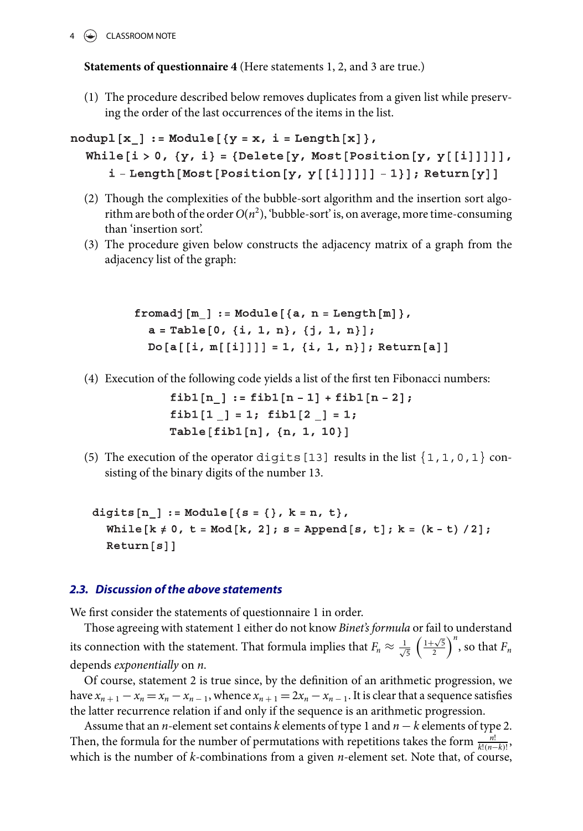4 CLASSROOM NOTE

**Statements of questionnaire 4** (Here statements 1, 2, and 3 are true.)

(1) The procedure described below removes duplicates from a given list while preserving the order of the last occurrences of the items in the list[.](#page-4-0)

```
nodupl[x] := Module[{y = x, i = Length[x]},While[i > 0, {y, i} = {Delete[y, Most[Position[y, y[[i]]]]],
i - Length [Most [Position [y, y[[i]]]]] - 1}]; Return [y]]
```
- (2) Though the complexities of the bubble-sort algorithm and the insertion sort algorithm are both of the order  $O(n^2)$ , 'bubble-sort' is, on average, more time-consuming than 'insertion sort'.
- (3) The procedure given below constructs the adjacency matrix of a graph from the adjacency list of the graph[:](#page-4-1)

<span id="page-4-1"></span>fromadj  $[m] := Module$   $\{a, n = Length[m]\},$  $a = Table[0, {i, 1, n}, {j, 1, n}]$ ;  $D \circ [a[[i, m[[i]]]] = 1, {i, 1, n}]$ ; Return[a]]

<span id="page-4-2"></span>(4) Execution of the following code yields a list of the first ten Fibonacci numbers[:](#page-4-2)

 $fib1[n] := fib1[n-1] + fib1[n-2];$ fibl[1 ] = 1; fibl[2 ] = 1; Table[fib1[n],  $\{n, 1, 10\}$ ]

(5) The execution of the operator digits [13] results in the list  $\{1,1,0,1\}$  consisting of the binary digits of the number 13[.](#page-4-3)

```
digits [n] := Module[{s = {}}, k = n, t],While [k \neq 0, t = Mod[k, 2]; s = Appendix, t]; k = (k - t) / 2];Return[s]]
```
# *2.3. Discussion of the above statements*

We first consider the statements of questionnaire 1 in order.

Those agreeing with statement 1 either do not know *Binet's formula* or fail to understand its connection with the statement. That formula implies that  $F_n \approx \frac{1}{\sqrt{5}} \left( \frac{1+\sqrt{5}}{2} \right)$  $\left(\frac{\sqrt{5}}{2}\right)^n$ , so that  $F_n$ depends *exponentially* on *n*.

Of course, statement 2 is true since, by the definition of an arithmetic progression, we have  $x_{n+1} - x_n = x_n - x_{n-1}$ , whence  $x_{n+1} = 2x_n - x_{n-1}$ . It is clear that a sequence satisfies the latter recurrence relation if and only if the sequence is an arithmetic progression.

Assume that an *n*-element set contains *k* elements of type 1 and *n* − *k* elements of type 2. Then, the formula for the number of permutations with repetitions takes the form  $\frac{n!}{k!(n-k)!}$ which is the number of *k*-combinations from a given *n*-element set. Note that, of course,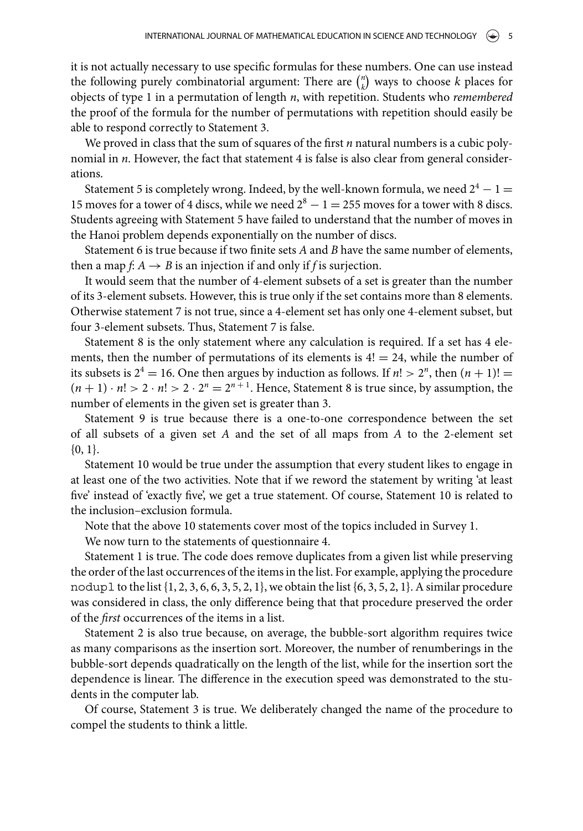it is not actually necessary to use specific formulas for these numbers. One can use instead the following purely combinatorial argument: There are  $\binom{n}{k}$  ways to choose  $k$  places for objects of type 1 in a permutation of length *n*, with repetition. Students who *remembered* the proof of the formula for the number of permutations with repetition should easily be able to respond correctly to Statement 3.

We proved in class that the sum of squares of the first *n* natural numbers is a cubic polynomial in *n*. However, the fact that statement 4 is false is also clear from general considerations.

Statement 5 is completely wrong. Indeed, by the well-known formula, we need  $2^4 - 1 =$ 15 moves for a tower of 4 discs, while we need  $2^8 - 1 = 255$  moves for a tower with 8 discs. Students agreeing with Statement 5 have failed to understand that the number of moves in the Hanoi problem depends exponentially on the number of discs.

Statement 6 is true because if two finite sets *A* and *B* have the same number of elements, then a map *f*:  $A \rightarrow B$  is an injection if and only if *f* is surjection.

It would seem that the number of 4-element subsets of a set is greater than the number of its 3-element subsets. However, this is true only if the set contains more than 8 elements. Otherwise statement 7 is not true, since a 4-element set has only one 4-element subset, but four 3-element subsets. Thus, Statement 7 is false.

Statement 8 is the only statement where any calculation is required. If a set has 4 elements, then the number of permutations of its elements is  $4! = 24$ , while the number of its subsets is  $2^4 = 16$ . One then argues by induction as follows. If  $n! > 2^n$ , then  $(n + 1)! =$  $(n + 1) \cdot n! > 2 \cdot n! > 2 \cdot 2^n = 2^{n+1}$ . Hence, Statement 8 is true since, by assumption, the number of elements in the given set is greater than 3.

Statement 9 is true because there is a one-to-one correspondence between the set of all subsets of a given set *A* and the set of all maps from *A* to the 2-element set  $\{0, 1\}.$ 

Statement 10 would be true under the assumption that every student likes to engage in at least one of the two activities. Note that if we reword the statement by writing 'at least five' instead of 'exactly five', we get a true statement. Of course, Statement 10 is related to the inclusion–exclusion formula.

Note that the above 10 statements cover most of the topics included in Survey 1.

We now turn to the statements of questionnaire 4.

Statement 1 is true. The code does remove duplicates from a given list while preserving the order of the last occurrences of the items in the list. For example, applying the procedure nodupl to the list  $\{1, 2, 3, 6, 6, 3, 5, 2, 1\}$ , we obtain the list  $\{6, 3, 5, 2, 1\}$ . A similar procedure was considered in class, the only difference being that that procedure preserved the order of the *first* occurrences of the items in a list.

Statement 2 is also true because, on average, the bubble-sort algorithm requires twice as many comparisons as the insertion sort. Moreover, the number of renumberings in the bubble-sort depends quadratically on the length of the list, while for the insertion sort the dependence is linear. The difference in the execution speed was demonstrated to the students in the computer lab.

Of course, Statement 3 is true. We deliberately changed the name of the procedure to compel the students to think a little.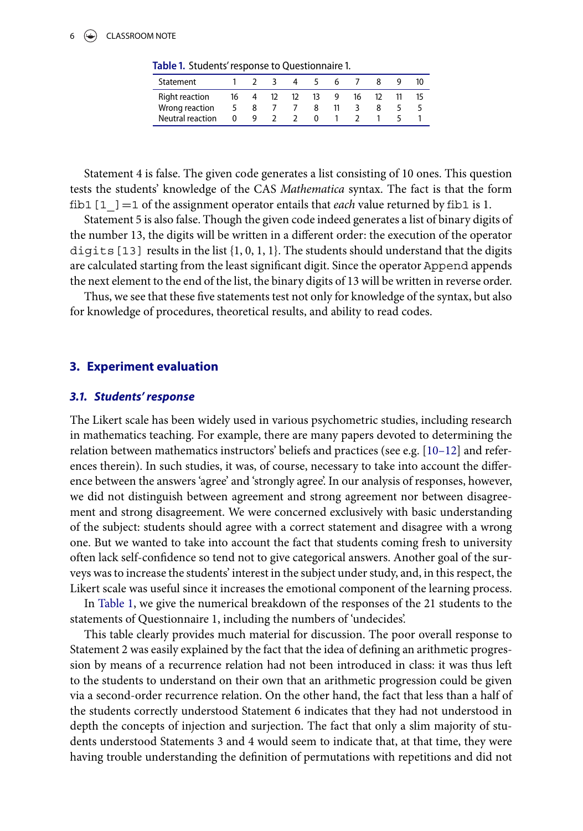<span id="page-6-0"></span>

| Table 1. Students' response to Questionnaire 1. |  |  |  |             |  |  |  |  |  |
|-------------------------------------------------|--|--|--|-------------|--|--|--|--|--|
| Statement                                       |  |  |  | 1 2 3 4 5 6 |  |  |  |  |  |

| Statement        |    |  |    |    |   |    |   |  |
|------------------|----|--|----|----|---|----|---|--|
| Right reaction   | 16 |  | 12 | 13 | q | 16 | D |  |
| Wrong reaction   | ↖  |  |    | 8  |   |    |   |  |
| Neutral reaction | n  |  |    |    |   |    |   |  |

Statement 4 is false. The given code generates a list consisting of 10 ones. This question tests the students' knowledge of the CAS *Mathematica* syntax. The fact is that the form fib1[1\_]=1 of the assignment operator entails that *each* value returned by fib1 is 1.

Statement 5 is also false. Though the given code indeed generates a list of binary digits of the number 13, the digits will be written in a different order: the execution of the operator digits [13] results in the list  $\{1, 0, 1, 1\}$ . The students should understand that the digits are calculated starting from the least significant digit. Since the operator Append appends the next element to the end of the list, the binary digits of 13 will be written in reverse order.

Thus, we see that these five statements test not only for knowledge of the syntax, but also for knowledge of procedures, theoretical results, and ability to read codes.

#### **3. Experiment evaluation**

#### *3.1. Students' response*

<span id="page-6-1"></span>The Likert scale has been widely used in various psychometric studies, including research in mathematics teaching. For example, there are many papers devoted to determining the relation between mathematics instructors' beliefs and practices (see e.g. [\[10–12\]](#page-9-7) and references therein). In such studies, it was, of course, necessary to take into account the difference between the answers 'agree' and 'strongly agree'. In our analysis of responses, however, we did not distinguish between agreement and strong agreement nor between disagreement and strong disagreement. We were concerned exclusively with basic understanding of the subject: students should agree with a correct statement and disagree with a wrong one. But we wanted to take into account the fact that students coming fresh to university often lack self-confidence so tend not to give categorical answers. Another goal of the surveys was to increase the students' interest in the subject under study, and, in this respect, the Likert scale was useful since it increases the emotional component of the learning process.

In [Table 1,](#page-6-0) we give the numerical breakdown of the responses of the 21 students to the statements of Questionnaire 1, including the numbers of 'undecides'.

This table clearly provides much material for discussion. The poor overall response to Statement 2 was easily explained by the fact that the idea of defining an arithmetic progression by means of a recurrence relation had not been introduced in class: it was thus left to the students to understand on their own that an arithmetic progression could be given via a second-order recurrence relation. On the other hand, the fact that less than a half of the students correctly understood Statement 6 indicates that they had not understood in depth the concepts of injection and surjection. The fact that only a slim majority of students understood Statements 3 and 4 would seem to indicate that, at that time, they were having trouble understanding the definition of permutations with repetitions and did not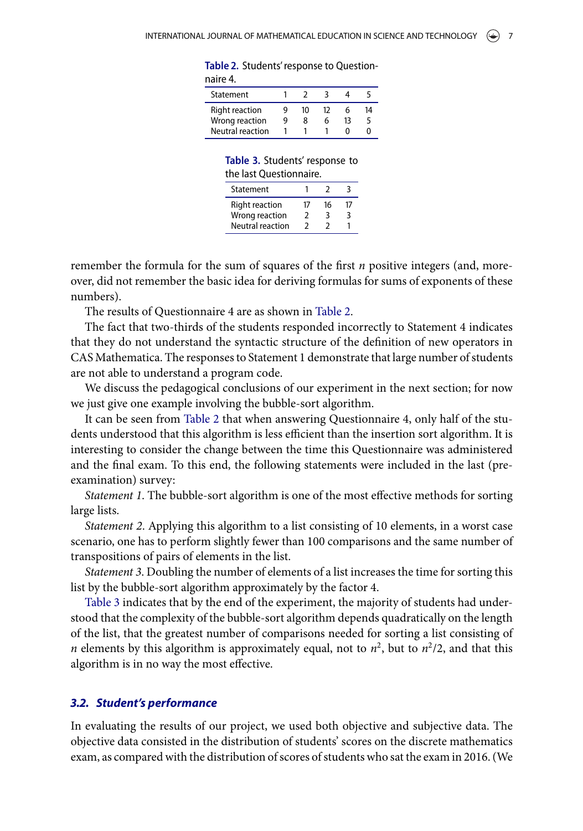<span id="page-7-0"></span>

| Table 2. Students' response to Question- |  |
|------------------------------------------|--|
| naire 4.                                 |  |

| Statement                                            |        |         |         |         |              |
|------------------------------------------------------|--------|---------|---------|---------|--------------|
| Right reaction<br>Wrong reaction<br>Neutral reaction | q<br>9 | 10<br>8 | 17<br>6 | h<br>13 | 14<br>5<br>0 |

Table 3. Students' response to the last Questionnaire.

| Statement        |    |    | ર  |
|------------------|----|----|----|
| Right reaction   | 17 | 16 | 17 |
| Wrong reaction   | 2  | 3  | २  |
| Neutral reaction |    |    |    |

<span id="page-7-1"></span>remember the formula for the sum of squares of the first *n* positive integers (and, moreover, did not remember the basic idea for deriving formulas for sums of exponents of these numbers).

The results of Questionnaire 4 are as shown in [Table 2.](#page-7-0)

The fact that two-thirds of the students responded incorrectly to Statement 4 indicates that they do not understand the syntactic structure of the definition of new operators in CAS Mathematica. The responses to Statement 1 demonstrate that large number of students are not able to understand a program code.

We discuss the pedagogical conclusions of our experiment in the next section; for now we just give one example involving the bubble-sort algorithm.

It can be seen from [Table 2](#page-7-0) that when answering Questionnaire 4, only half of the students understood that this algorithm is less efficient than the insertion sort algorithm. It is interesting to consider the change between the time this Questionnaire was administered and the final exam. To this end, the following statements were included in the last (preexamination) survey:

*Statement 1*. The bubble-sort algorithm is one of the most effective methods for sorting large lists.

*Statement 2*. Applying this algorithm to a list consisting of 10 elements, in a worst case scenario, one has to perform slightly fewer than 100 comparisons and the same number of transpositions of pairs of elements in the list.

*Statement 3*. Doubling the number of elements of a list increases the time for sorting this list by the bubble-sort algorithm approximately by the factor 4.

[Table 3](#page-7-1) indicates that by the end of the experiment, the majority of students had understood that the complexity of the bubble-sort algorithm depends quadratically on the length of the list, that the greatest number of comparisons needed for sorting a list consisting of *n* elements by this algorithm is approximately equal, not to  $n^2$ , but to  $n^2/2$ , and that this algorithm is in no way the most effective.

#### *3.2. Student's performance*

In evaluating the results of our project, we used both objective and subjective data. The objective data consisted in the distribution of students' scores on the discrete mathematics exam, as compared with the distribution of scores of students who sat the exam in 2016. (We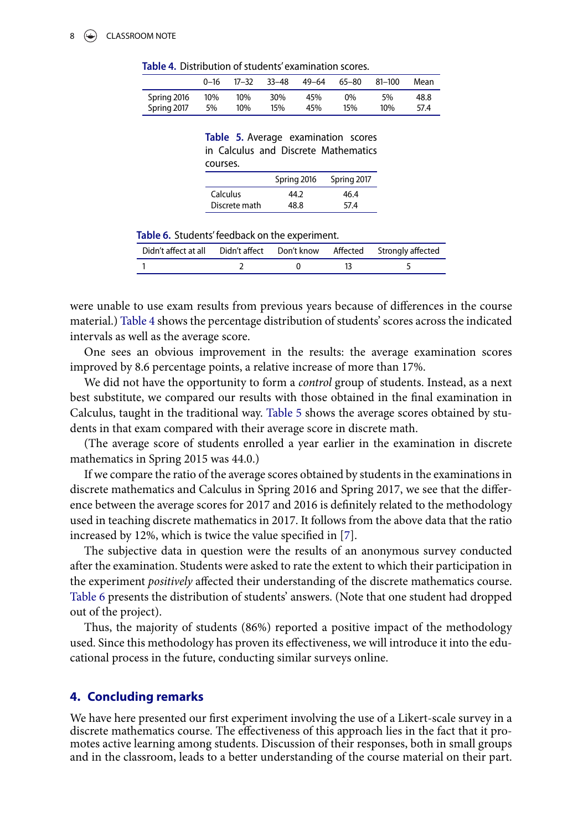<span id="page-8-1"></span>

|             | 0–16 | $17 - 32$ | $33 - 48$ | $49 - 64$ | $65 - 80$ | $81 - 100$ | Mean |
|-------------|------|-----------|-----------|-----------|-----------|------------|------|
| Spring 2016 | 10%  | 10%       | 30%       | 45%       | $0\%$     | 5%         | 48.8 |
| Spring 2017 | 5%   | 10%       | 15%       | 45%       | 15%       | 10%        | 57.4 |

<span id="page-8-0"></span>Table 4. Distribution of students' examination scores.

Table 5. Average examination scores in Calculus and Discrete Mathematics courses.

| coupea.       |             |             |
|---------------|-------------|-------------|
|               | Spring 2016 | Spring 2017 |
| Calculus      | 44.2        | 46.4        |
| Discrete math | 48.8        | 57.4        |
|               |             |             |

<span id="page-8-2"></span>Table 6. Students' feedback on the experiment.

| Didn't affect at all Didn't affect Don't know Affected Strongly affected |  |  |
|--------------------------------------------------------------------------|--|--|
|                                                                          |  |  |

were unable to use exam results from previous years because of differences in the course material.) [Table 4](#page-8-0) shows the percentage distribution of students' scores across the indicated intervals as well as the average score.

One sees an obvious improvement in the results: the average examination scores improved by 8.6 percentage points, a relative increase of more than 17%.

We did not have the opportunity to form a *control* group of students. Instead, as a next best substitute, we compared our results with those obtained in the final examination in Calculus, taught in the traditional way. [Table 5](#page-8-1) shows the average scores obtained by students in that exam compared with their average score in discrete math.

(The average score of students enrolled a year earlier in the examination in discrete mathematics in Spring 2015 was 44.0.)

If we compare the ratio of the average scores obtained by students in the examinations in discrete mathematics and Calculus in Spring 2016 and Spring 2017, we see that the difference between the average scores for 2017 and 2016 is definitely related to the methodology used in teaching discrete mathematics in 2017. It follows from the above data that the ratio increased by 12%, which is twice the value specified in [\[7\]](#page-9-8).

The subjective data in question were the results of an anonymous survey conducted after the examination. Students were asked to rate the extent to which their participation in the experiment *positively* affected their understanding of the discrete mathematics course. [Table 6](#page-8-2) presents the distribution of students' answers. (Note that one student had dropped out of the project).

Thus, the majority of students (86%) reported a positive impact of the methodology used. Since this methodology has proven its effectiveness, we will introduce it into the educational process in the future, conducting similar surveys online.

#### **4. Concluding remarks**

We have here presented our first experiment involving the use of a Likert-scale survey in a discrete mathematics course. The effectiveness of this approach lies in the fact that it promotes active learning among students. Discussion of their responses, both in small groups and in the classroom, leads to a better understanding of the course material on their part.